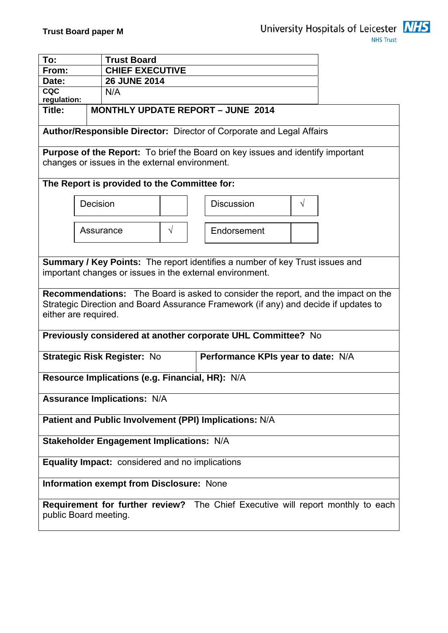

| To:                                                                                                                                                                                                     |           | <b>Trust Board</b><br><b>CHIEF EXECUTIVE</b> |           |                                    |  |
|---------------------------------------------------------------------------------------------------------------------------------------------------------------------------------------------------------|-----------|----------------------------------------------|-----------|------------------------------------|--|
| From:                                                                                                                                                                                                   |           |                                              |           |                                    |  |
| Date:<br><b>CQC</b>                                                                                                                                                                                     |           | <b>26 JUNE 2014</b><br>N/A                   |           |                                    |  |
| regulation:                                                                                                                                                                                             |           |                                              |           |                                    |  |
| <b>MONTHLY UPDATE REPORT - JUNE 2014</b><br>Title:                                                                                                                                                      |           |                                              |           |                                    |  |
| Author/Responsible Director: Director of Corporate and Legal Affairs                                                                                                                                    |           |                                              |           |                                    |  |
| <b>Purpose of the Report:</b> To brief the Board on key issues and identify important<br>changes or issues in the external environment.                                                                 |           |                                              |           |                                    |  |
| The Report is provided to the Committee for:                                                                                                                                                            |           |                                              |           |                                    |  |
|                                                                                                                                                                                                         | Decision  |                                              |           | <b>Discussion</b><br>$\sqrt{}$     |  |
|                                                                                                                                                                                                         | Assurance |                                              | $\sqrt{}$ | Endorsement                        |  |
| <b>Summary / Key Points:</b> The report identifies a number of key Trust issues and<br>important changes or issues in the external environment.                                                         |           |                                              |           |                                    |  |
| <b>Recommendations:</b> The Board is asked to consider the report, and the impact on the<br>Strategic Direction and Board Assurance Framework (if any) and decide if updates to<br>either are required. |           |                                              |           |                                    |  |
| Previously considered at another corporate UHL Committee? No                                                                                                                                            |           |                                              |           |                                    |  |
| <b>Strategic Risk Register: No</b>                                                                                                                                                                      |           |                                              |           | Performance KPIs year to date: N/A |  |
| Resource Implications (e.g. Financial, HR): N/A                                                                                                                                                         |           |                                              |           |                                    |  |
| <b>Assurance Implications: N/A</b>                                                                                                                                                                      |           |                                              |           |                                    |  |
| Patient and Public Involvement (PPI) Implications: N/A                                                                                                                                                  |           |                                              |           |                                    |  |
| <b>Stakeholder Engagement Implications: N/A</b>                                                                                                                                                         |           |                                              |           |                                    |  |
| <b>Equality Impact:</b> considered and no implications                                                                                                                                                  |           |                                              |           |                                    |  |
| <b>Information exempt from Disclosure: None</b>                                                                                                                                                         |           |                                              |           |                                    |  |
| Requirement for further review? The Chief Executive will report monthly to each<br>public Board meeting.                                                                                                |           |                                              |           |                                    |  |